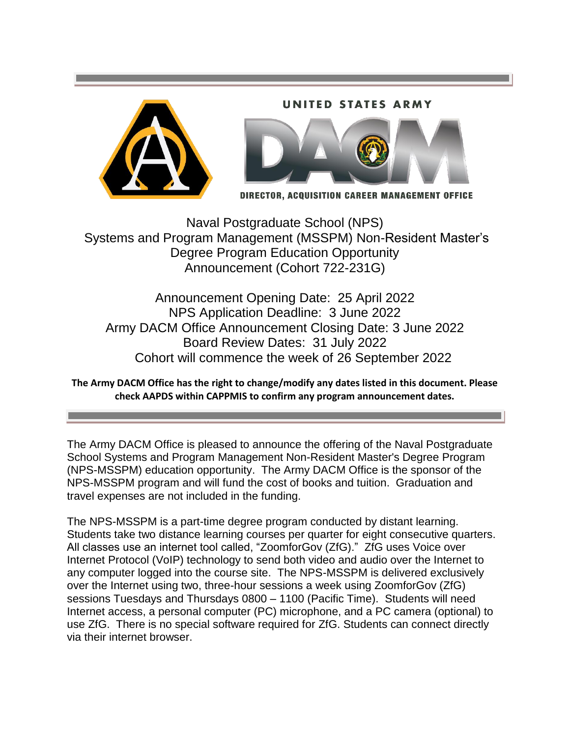#### UNITED STATES **ARMY**





DIRECTOR, ACQUISITION CAREER MANAGEMENT OFFICE

 Systems and Program Management (MSSPM) Non-Resident Master's Naval Postgraduate School (NPS) Degree Program Education Opportunity Announcement (Cohort 722-231G)

 Announcement Opening Date: 25 April 2022 NPS Application Deadline: 3 June 2022 Army DACM Office Announcement Closing Date: 3 June 2022 Board Review Dates: 31 July 2022 Cohort will commence the week of 26 September 2022

 **The Army DACM Office has the right to change/modify any dates listed in this document. Please check AAPDS within CAPPMIS to confirm any program announcement dates.** 

 The Army DACM Office is pleased to announce the offering of the Naval Postgraduate (NPS-MSSPM) education opportunity. The Army DACM Office is the sponsor of the NPS-MSSPM program and will fund the cost of books and tuition. Graduation and travel expenses are not included in the funding. School Systems and Program Management Non-Resident Master's Degree Program

 Internet Protocol (VoIP) technology to send both video and audio over the Internet to via their internet browser. The NPS-MSSPM is a part-time degree program conducted by distant learning. Students take two distance learning courses per quarter for eight consecutive quarters. All classes use an internet tool called, "ZoomforGov (ZfG)." ZfG uses Voice over any computer logged into the course site. The NPS-MSSPM is delivered exclusively over the Internet using two, three-hour sessions a week using ZoomforGov (ZfG) sessions Tuesdays and Thursdays 0800 – 1100 (Pacific Time). Students will need Internet access, a personal computer (PC) microphone, and a PC camera (optional) to use ZfG. There is no special software required for ZfG. Students can connect directly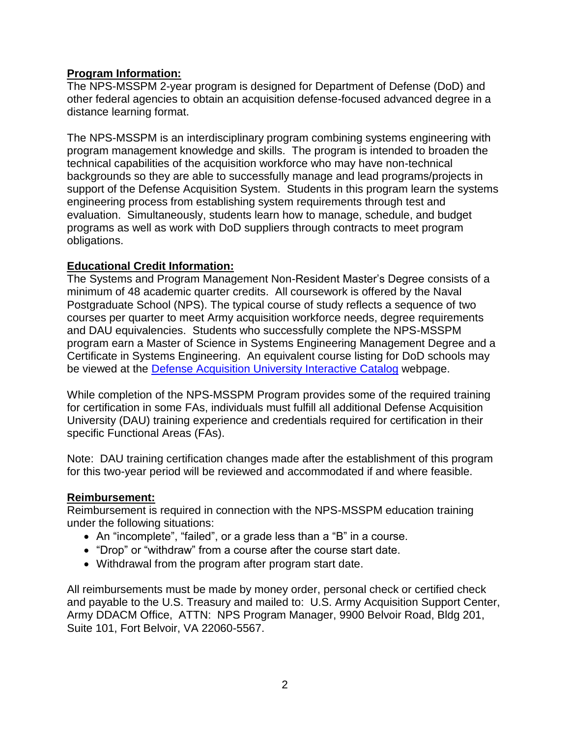### **Program Information:**

 other federal agencies to obtain an acquisition defense-focused advanced degree in a The NPS-MSSPM 2-year program is designed for Department of Defense (DoD) and distance learning format.

 engineering process from establishing system requirements through test and The NPS-MSSPM is an interdisciplinary program combining systems engineering with program management knowledge and skills. The program is intended to broaden the technical capabilities of the acquisition workforce who may have non-technical backgrounds so they are able to successfully manage and lead programs/projects in support of the Defense Acquisition System. Students in this program learn the systems evaluation. Simultaneously, students learn how to manage, schedule, and budget programs as well as work with DoD suppliers through contracts to meet program obligations.

### **Educational Credit Information:**

 minimum of 48 academic quarter credits. All coursework is offered by the Naval Postgraduate School (NPS). The typical course of study reflects a sequence of two and DAU equivalencies. Students who successfully complete the NPS-MSSPM program earn a Master of Science in Systems Engineering Management Degree and a The Systems and Program Management Non-Resident Master's Degree consists of a courses per quarter to meet Army acquisition workforce needs, degree requirements Certificate in Systems Engineering. An equivalent course listing for DoD schools may be viewed at the [Defense Acquisition University Interactive Catalog](https://icatalog.dau.edu/) webpage.

 University (DAU) training experience and credentials required for certification in their While completion of the NPS-MSSPM Program provides some of the required training for certification in some FAs, individuals must fulfill all additional Defense Acquisition specific Functional Areas (FAs).

 Note: DAU training certification changes made after the establishment of this program for this two-year period will be reviewed and accommodated if and where feasible.

#### **Reimbursement:**

 under the following situations: Reimbursement is required in connection with the NPS-MSSPM education training

- An "incomplete", "failed", or a grade less than a "B" in a course.
- "Drop" or "withdraw" from a course after the course start date.
- Withdrawal from the program after program start date.

 All reimbursements must be made by money order, personal check or certified check Suite 101, Fort Belvoir, VA 22060-5567. and payable to the U.S. Treasury and mailed to: U.S. Army Acquisition Support Center, Army DDACM Office, ATTN: NPS Program Manager, 9900 Belvoir Road, Bldg 201,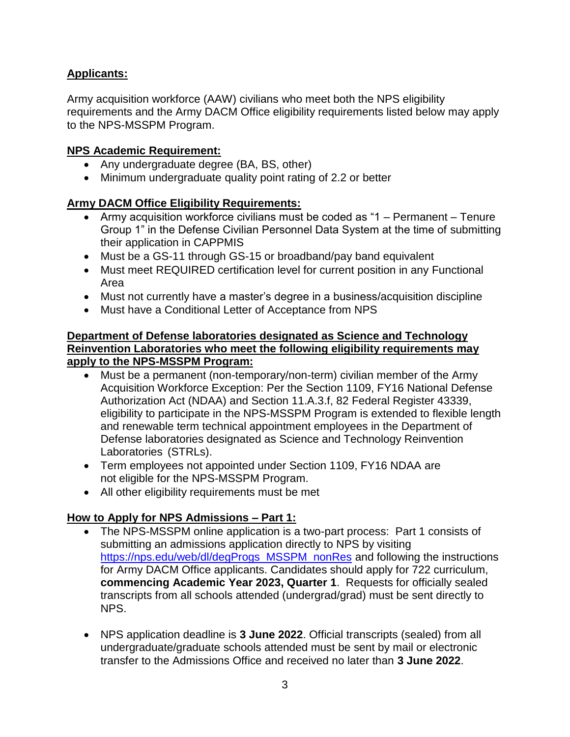# **Applicants:**

 Army acquisition workforce (AAW) civilians who meet both the NPS eligibility requirements and the Army DACM Office eligibility requirements listed below may apply to the NPS-MSSPM Program.

### **NPS Academic Requirement:**

- Any undergraduate degree (BA, BS, other)
- Minimum undergraduate quality point rating of 2.2 or better

# **Army DACM Office Eligibility Requirements:**

- Army acquisition workforce civilians must be coded as "1 Permanent Tenure Group 1" in the Defense Civilian Personnel Data System at the time of submitting their application in CAPPMIS
- Must be a GS-11 through GS-15 or broadband/pay band equivalent
- Area Must meet REQUIRED certification level for current position in any Functional
- Must not currently have a master's degree in a business/acquisition discipline
- Must have a Conditional Letter of Acceptance from NPS

### **Department of Defense laboratories designated as Science and Technology Reinvention Laboratories who meet the following eligibility requirements may apply to the NPS-MSSPM Program:**

- eligibility to participate in the NPS-MSSPM Program is extended to flexible length Defense laboratories designated as Science and Technology Reinvention Must be a permanent (non-temporary/non-term) civilian member of the Army Acquisition Workforce Exception: Per the Section 1109, FY16 National Defense Authorization Act (NDAA) and Section 11.A.3.f, 82 Federal Register 43339, and renewable term technical appointment employees in the Department of Laboratories (STRLs).
- Term employees not appointed under Section 1109, FY16 NDAA are not eligible for the NPS-MSSPM Program.
- All other eligibility requirements must be met

# **How to Apply for NPS Admissions – Part 1:**

- submitting an admissions application directly to NPS by visiting The NPS-MSSPM online application is a two-part process: Part 1 consists of [https://nps.edu/web/dl/degProgs\\_MSSPM\\_nonRes](https://nps.edu/web/dl/degProgs_MSSPM_nonRes) and following the instructions for Army DACM Office applicants. Candidates should apply for 722 curriculum, **commencing Academic Year 2023, Quarter 1**. Requests for officially sealed transcripts from all schools attended (undergrad/grad) must be sent directly to NPS.
- NPS application deadline is **3 June 2022**. Official transcripts (sealed) from all undergraduate/graduate schools attended must be sent by mail or electronic transfer to the Admissions Office and received no later than **3 June 2022**.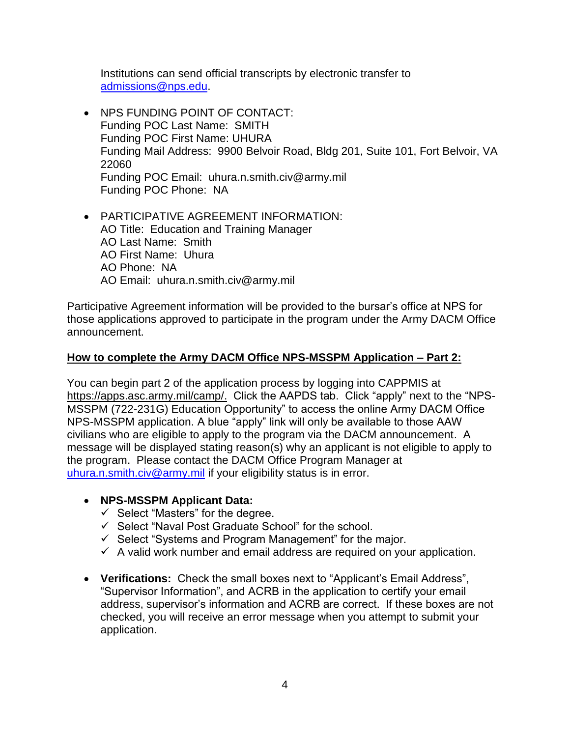Institutions can send official transcripts by electronic transfer to [admissions@nps.edu.](mailto:admissions@nps.edu)

- Funding POC Last Name: SMITH Funding Mail Address: 9900 Belvoir Road, Bldg 201, Suite 101, Fort Belvoir, VA Funding POC Phone: NA • NPS FUNDING POINT OF CONTACT: Funding POC First Name: UHURA 22060 Funding POC Email: [uhura.n.smith.civ@army.mil](mailto:uhura.n.smith.civ@army.mil)
- AO Title: Education and Training Manager AO Last Name: Smith PARTICIPATIVE AGREEMENT INFORMATION: AO First Name: Uhura AO Phone: NA AO Email: [uhura.n.smith.civ@army.mil](mailto:uhura.n.smith.civ@army.mil)

Participative Agreement information will be provided to the bursar's office at NPS for those applications approved to participate in the program under the Army DACM Office announcement.

### **How to complete the Army DACM Office NPS-MSSPM Application – Part 2:**

 You can begin part 2 of the application process by logging into CAPPMIS at [https://apps.asc.army.mil/camp/.](https://apps.asc.army.mil/camp/) Click the AAPDS tab. Click "apply" next to the "NPS- civilians who are eligible to apply to the program via the DACM announcement. A the program. Please contact the DACM Office Program Manager at MSSPM (722-231G) Education Opportunity" to access the online Army DACM Office NPS-MSSPM application. A blue "apply" link will only be available to those AAW message will be displayed stating reason(s) why an applicant is not eligible to apply to [uhura.n.smith.civ@army.mil](mailto:uhura.n.smith.civ@army.mil) if your eligibility status is in error.

- **NPS-MSSPM Applicant Data:** 
	- $\checkmark$  Select "Masters" for the degree.
	- $\checkmark$  Select "Naval Post Graduate School" for the school.
	- $\checkmark$  Select "Systems and Program Management" for the major.
	- $\checkmark$  A valid work number and email address are required on your application.
- address, supervisor's information and ACRB are correct. If these boxes are not **Verifications:** Check the small boxes next to "Applicant's Email Address", "Supervisor Information", and ACRB in the application to certify your email checked, you will receive an error message when you attempt to submit your application.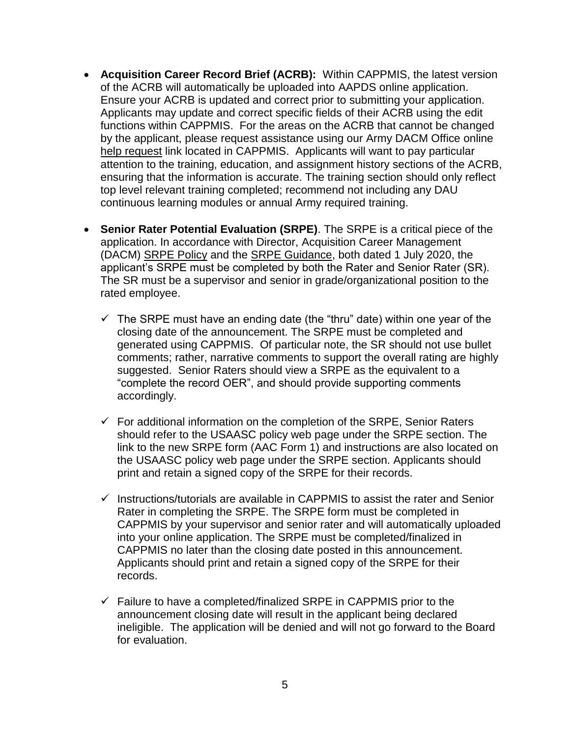- **Acquisition Career Record Brief (ACRB):** Within CAPPMIS, the latest version functions within CAPPMIS. For the areas on the ACRB that cannot be changed of the ACRB will automatically be uploaded into AAPDS online application. Ensure your ACRB is updated and correct prior to submitting your application. Applicants may update and correct specific fields of their ACRB using the edit by the applicant, please request assistance using our Army DACM Office online [help request](https://apps.asc.army.mil/camp/index.cfm?fuseaction=support.helpRequest) link located in CAPPMIS. Applicants will want to pay particular attention to the training, education, and assignment history sections of the ACRB, ensuring that the information is accurate. The training section should only reflect top level relevant training completed; recommend not including any DAU continuous learning modules or annual Army required training.
- **Senior Rater Potential Evaluation (SRPE)**. The SRPE is a critical piece of the (DACM) [SRPE Policy](https://asc.army.mil/web/srpe-policy/) and the [SRPE Guidance,](https://asc.army.mil/web/srpe-guidance/) both dated 1 July 2020, the application. In accordance with Director, Acquisition Career Management applicant's SRPE must be completed by both the Rater and Senior Rater (SR). The SR must be a supervisor and senior in grade/organizational position to the rated employee.
	- closing date of the announcement. The SRPE must be completed and suggested. Senior Raters should view a SRPE as the equivalent to a  $\checkmark$  The SRPE must have an ending date (the "thru" date) within one year of the generated using CAPPMIS. Of particular note, the SR should not use bullet comments; rather, narrative comments to support the overall rating are highly "complete the record OER", and should provide supporting comments accordingly.
	- link to the new SRPE form (AAC Form 1) and instructions are also located on the USAASC policy web page under the SRPE section. Applicants should print and retain a signed copy of the SRPE for their records.  $\checkmark$  For additional information on the completion of the SRPE, Senior Raters should refer to the USAASC policy web page under the SRPE section. The
	- Rater in completing the SRPE. The SRPE form must be completed in CAPPMIS no later than the closing date posted in this announcement. Applicants should print and retain a signed copy of the SRPE for their  $\checkmark$  Instructions/tutorials are available in CAPPMIS to assist the rater and Senior CAPPMIS by your supervisor and senior rater and will automatically uploaded into your online application. The SRPE must be completed/finalized in records.
	- $\checkmark$  Failure to have a completed/finalized SRPE in CAPPMIS prior to the ineligible. The application will be denied and will not go forward to the Board announcement closing date will result in the applicant being declared for evaluation.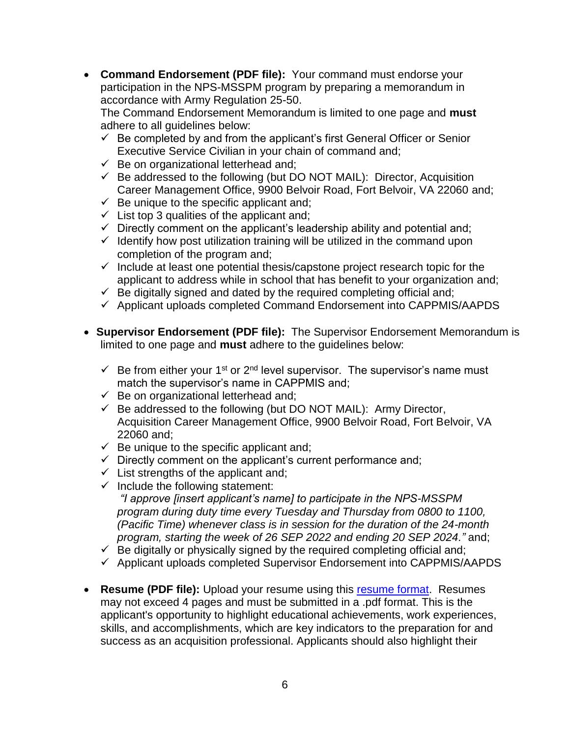**Command Endorsement (PDF file):** Your command must endorse your accordance with Army Regulation 25-50. participation in the NPS-MSSPM program by preparing a memorandum in

accordance with Army Regulation 25-50.<br>The Command Endorsement Memorandum is limited to one page and **must** <sub></sub> adhere to all guidelines below:

- $\checkmark$  Be completed by and from the applicant's first General Officer or Senior Executive Service Civilian in your chain of command and;
- $\checkmark$  Be on organizational letterhead and;
- $\checkmark$  Be addressed to the following (but DO NOT MAIL): Director, Acquisition Career Management Office, 9900 Belvoir Road, Fort Belvoir, VA 22060 and;
- $\checkmark$  Be unique to the specific applicant and;
- $\checkmark$  List top 3 qualities of the applicant and;
- $\checkmark$  Directly comment on the applicant's leadership ability and potential and;
- $\checkmark$  Identify how post utilization training will be utilized in the command upon completion of the program and;
- $\checkmark$  Include at least one potential thesis/capstone project research topic for the applicant to address while in school that has benefit to your organization and;
- $\checkmark$  Be digitally signed and dated by the required completing official and;
- $\checkmark$  Applicant uploads completed Command Endorsement into CAPPMIS/AAPDS
- **Supervisor Endorsement (PDF file):** The Supervisor Endorsement Memorandum is limited to one page and **must** adhere to the guidelines below:
	- $\checkmark$  Be from either your 1<sup>st</sup> or 2<sup>nd</sup> level supervisor. The supervisor's name must match the supervisor's name in CAPPMIS and;
	- $\checkmark$  Be on organizational letterhead and;
	- $\checkmark$  Be addressed to the following (but DO NOT MAIL): Army Director, Acquisition Career Management Office, 9900 Belvoir Road, Fort Belvoir, VA 22060 and;
	- $\checkmark$  Be unique to the specific applicant and;
	- $\checkmark$  Directly comment on the applicant's current performance and;
	- $\checkmark$  List strengths of the applicant and;
	- $\checkmark$  Include the following statement:

 *program during duty time every Tuesday and Thursday from 0800 to 1100, (Pacific Time) whenever class is in session for the duration of the 24-month program, starting the week of 26 SEP 2022 and ending 20 SEP 2024."* and; *"I approve [insert applicant's name] to participate in the NPS-MSSPM* 

- $\checkmark$  Be digitally or physically signed by the required completing official and;
- $\checkmark$  Applicant uploads completed Supervisor Endorsement into CAPPMIS/AAPDS
- **Resume (PDF file):** Upload your resume using this [resume format.](https://asc.army.mil/web/wp-content/uploads/2021/03/RESUME-FORMAT.pdf) Resumes may not exceed 4 pages and must be submitted in a .pdf format. This is the applicant's opportunity to highlight educational achievements, work experiences, skills, and accomplishments, which are key indicators to the preparation for and success as an acquisition professional. Applicants should also highlight their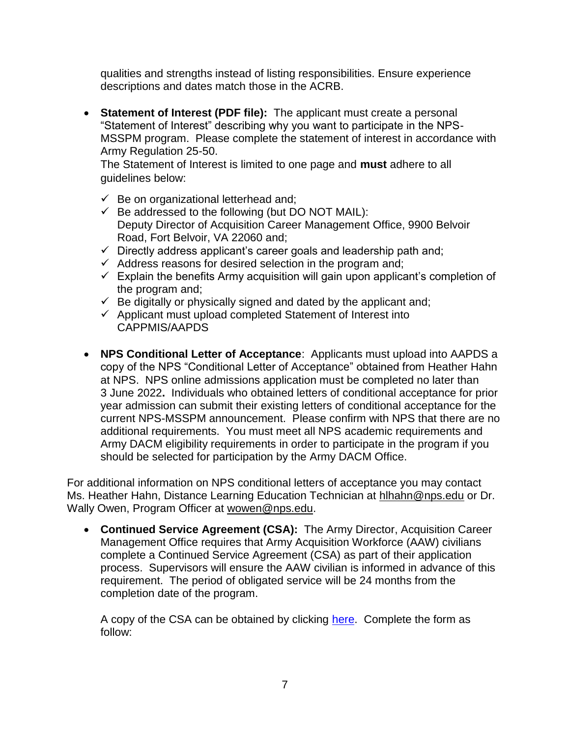qualities and strengths instead of listing responsibilities. Ensure experience descriptions and dates match those in the ACRB.

 **Statement of Interest (PDF file):** The applicant must create a personal "Statement of Interest" describing why you want to participate in the NPS- MSSPM program. Please complete the statement of interest in accordance with Army Regulation 25-50.

 The Statement of Interest is limited to one page and **must** adhere to all guidelines below:

- $\checkmark$  Be on organizational letterhead and;
- Deputy Director of Acquisition Career Management Office, 9900 Belvoir  $\checkmark$  Be addressed to the following (but DO NOT MAIL): Road, Fort Belvoir, VA 22060 and;
- $\checkmark$  Directly address applicant's career goals and leadership path and;
- $\checkmark$  Address reasons for desired selection in the program and;
- $\checkmark$  Explain the benefits Army acquisition will gain upon applicant's completion of the program and;
- $\checkmark$  Be digitally or physically signed and dated by the applicant and;
- $\checkmark$  Applicant must upload completed Statement of Interest into CAPPMIS/AAPDS
- copy of the NPS "Conditional Letter of Acceptance" obtained from Heather Hahn at NPS. NPS online admissions application must be completed no later than 3 June 2022**.** Individuals who obtained letters of conditional acceptance for prior year admission can submit their existing letters of conditional acceptance for the **NPS Conditional Letter of Acceptance**: Applicants must upload into AAPDS a current NPS-MSSPM announcement. Please confirm with NPS that there are no additional requirements. You must meet all NPS academic requirements and Army DACM eligibility requirements in order to participate in the program if you should be selected for participation by the Army DACM Office.

Wally Owen, Program Officer at [wowen@nps.edu.](mailto:wowen@nps.edu) For additional information on NPS conditional letters of acceptance you may contact Ms. Heather Hahn, Distance Learning Education Technician at [hlhahn@nps.edu](mailto:hlhahn@nps.edu) or Dr.

 **Continued Service Agreement (CSA):** The Army Director, Acquisition Career completion date of the program. Management Office requires that Army Acquisition Workforce (AAW) civilians complete a Continued Service Agreement (CSA) as part of their application process. Supervisors will ensure the AAW civilian is informed in advance of this requirement. The period of obligated service will be 24 months from the

A copy of the CSA can be obtained by clicking [here.](https://asc.army.mil/web/wp-content/uploads/2022/03/Army-DACM-Office-NPS-Continued-Service-Agreement.pdf) Complete the form as follow: follow: 7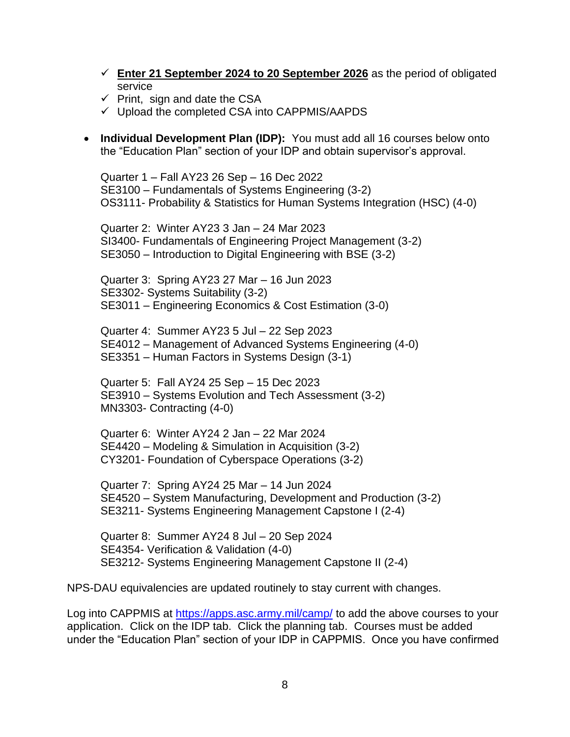- **Enter 21 September 2024 to 20 September 2026** as the period of obligated service
- $\checkmark$  Print, sign and date the CSA
- $\checkmark$  Upload the completed CSA into CAPPMIS/AAPDS
- **Individual Development Plan (IDP):** You must add all 16 courses below onto the "Education Plan" section of your IDP and obtain supervisor's approval.

Quarter 1 – Fall AY23 26 Sep – 16 Dec 2022 SE3100 – Fundamentals of Systems Engineering (3-2) OS3111- Probability & Statistics for Human Systems Integration (HSC) (4-0)

Quarter 2: Winter AY23 3 Jan – 24 Mar 2023 SI3400- Fundamentals of Engineering Project Management (3-2) SE3050 – Introduction to Digital Engineering with BSE (3-2)

 Quarter 3: Spring AY23 27 Mar – 16 Jun 2023 SE3302- Systems Suitability (3-2) SE3011 – Engineering Economics & Cost Estimation (3-0)

Quarter 4: Summer AY23 5 Jul – 22 Sep 2023 SE4012 – Management of Advanced Systems Engineering (4-0) SE3351 – Human Factors in Systems Design (3-1)

Quarter 5: Fall AY24 25 Sep – 15 Dec 2023 SE3910 – Systems Evolution and Tech Assessment (3-2) MN3303- Contracting (4-0)

 CY3201- Foundation of Cyberspace Operations (3-2) Quarter 6: Winter AY24 2 Jan – 22 Mar 2024 SE4420 – Modeling & Simulation in Acquisition (3-2)

Quarter 7: Spring AY24 25 Mar – 14 Jun 2024 SE4520 – System Manufacturing, Development and Production (3-2) SE3211- Systems Engineering Management Capstone I (2-4)

Quarter 8: Summer AY24 8 Jul – 20 Sep 2024 SE4354- Verification & Validation (4-0) SE3212- Systems Engineering Management Capstone II (2-4)

NPS-DAU equivalencies are updated routinely to stay current with changes.

 application. Click on the IDP tab. Click the planning tab. Courses must be added under the "Education Plan" section of your IDP in CAPPMIS. Once you have confirmed Log into CAPPMIS at<https://apps.asc.army.mil/camp/>to add the above courses to your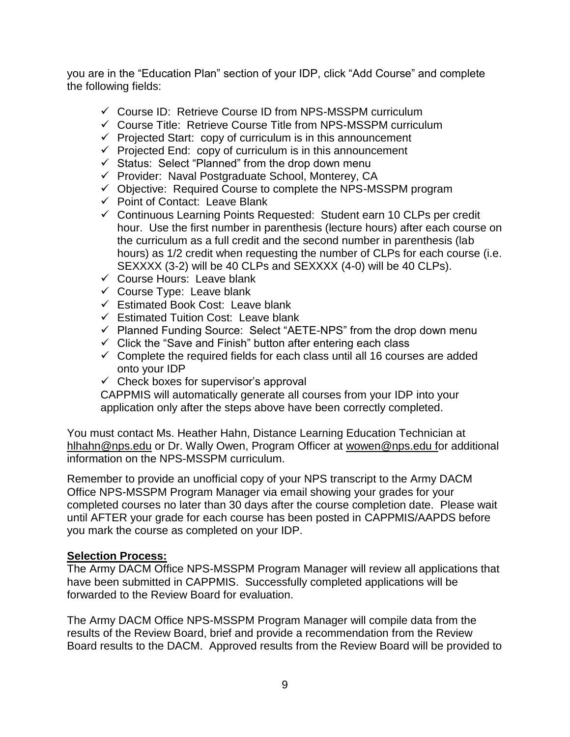you are in the "Education Plan" section of your IDP, click "Add Course" and complete the following fields:

- $\checkmark$  Course ID: Retrieve Course ID from NPS-MSSPM curriculum
- $\checkmark$  Course Title: Retrieve Course Title from NPS-MSSPM curriculum
- $\checkmark$  Projected Start: copy of curriculum is in this announcement
- $\checkmark$  Projected End: copy of curriculum is in this announcement
- $\checkmark$  Status: Select "Planned" from the drop down menu
- $\checkmark$  Provider: Naval Postgraduate School, Monterey, CA
- $\checkmark$  Objective: Required Course to complete the NPS-MSSPM program
- $\checkmark$  Point of Contact: Leave Blank
- $\checkmark$  Continuous Learning Points Requested: Student earn 10 CLPs per credit the curriculum as a full credit and the second number in parenthesis (lab SEXXXX (3-2) will be 40 CLPs and SEXXXX (4-0) will be 40 CLPs). hour. Use the first number in parenthesis (lecture hours) after each course on hours) as 1/2 credit when requesting the number of CLPs for each course (i.e.
- $\checkmark$  Course Hours: Leave blank
- $\checkmark$  Course Type: Leave blank
- $\checkmark$  Estimated Book Cost: Leave blank
- $\checkmark$  Estimated Tuition Cost: Leave blank
- $\checkmark$  Planned Funding Source: Select "AETE-NPS" from the drop down menu
- $\checkmark$  Click the "Save and Finish" button after entering each class
- $\checkmark$  Complete the required fields for each class until all 16 courses are added onto your IDP
- $\checkmark$  Check boxes for supervisor's approval

 CAPPMIS will automatically generate all courses from your IDP into your application only after the steps above have been correctly completed.

 information on the NPS-MSSPM curriculum. You must contact Ms. Heather Hahn, Distance Learning Education Technician at [hlhahn@nps.edu](mailto:hlhahn@nps.edu) or Dr. Wally Owen, Program Officer at [wowen@nps.edu](mailto:wowen@nps.edu) for additional

 completed courses no later than 30 days after the course completion date. Please wait you mark the course as completed on your IDP. Remember to provide an unofficial copy of your NPS transcript to the Army DACM Office NPS-MSSPM Program Manager via email showing your grades for your until AFTER your grade for each course has been posted in CAPPMIS/AAPDS before

#### **Selection Process:**

forwarded to the Review Board for evaluation. The Army DACM Office NPS-MSSPM Program Manager will review all applications that have been submitted in CAPPMIS. Successfully completed applications will be

forwarded to the Review Board for evaluation.<br>The Army DACM Office NPS-MSSPM Program Manager will compile data from the results of the Review Board, brief and provide a recommendation from the Review Board results to the DACM. Approved results from the Review Board will be provided to